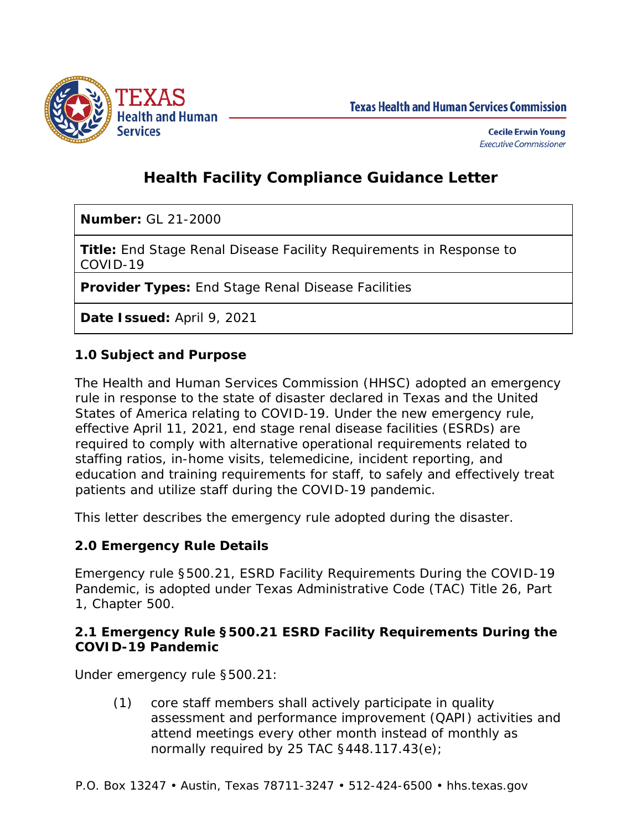

**Texas Health and Human Services Commission** 

# **Health Facility Compliance Guidance Letter**

**Number:** GL 21-2000

**Title:** End Stage Renal Disease Facility Requirements in Response to COVID-19

**Provider Types:** End Stage Renal Disease Facilities

**Date Issued:** April 9, 2021

## **1.0 Subject and Purpose**

The Health and Human Services Commission (HHSC) adopted an emergency rule in response to the state of disaster declared in Texas and the United States of America relating to COVID-19. Under the new emergency rule, effective April 11, 2021, end stage renal disease facilities (ESRDs) are required to comply with alternative operational requirements related to staffing ratios, in-home visits, telemedicine, incident reporting, and education and training requirements for staff, to safely and effectively treat patients and utilize staff during the COVID-19 pandemic.

This letter describes the emergency rule adopted during the disaster.

## **2.0 Emergency Rule Details**

Emergency rule §500.21, ESRD Facility Requirements During the COVID-19 Pandemic, is adopted under Texas Administrative Code (TAC) Title 26, Part 1, Chapter 500.

#### **2.1 Emergency Rule §500.21 ESRD Facility Requirements During the COVID-19 Pandemic**

Under emergency rule §500.21:

(1) core staff members shall actively participate in quality assessment and performance improvement (QAPI) activities and attend meetings every other month instead of monthly as normally required by 25 TAC  $§448.117.43(e);$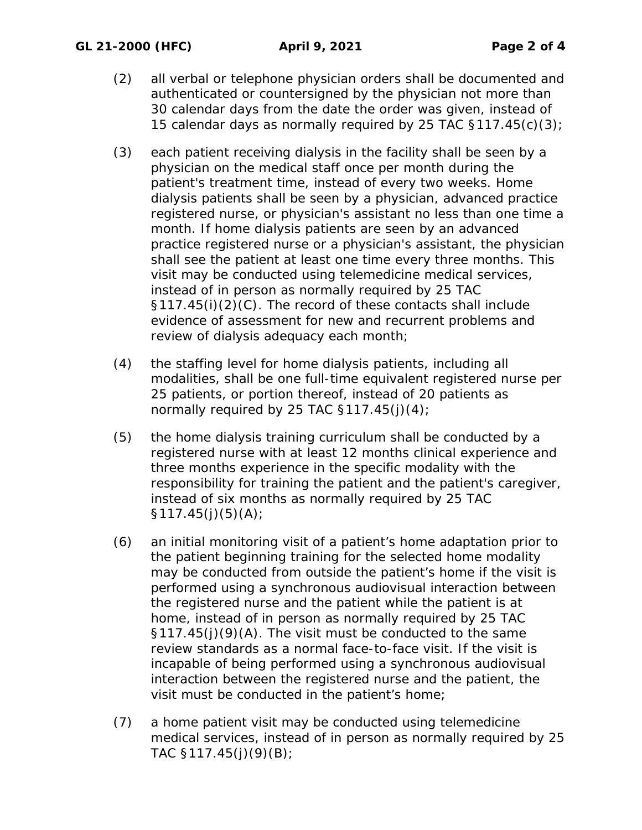- (2) all verbal or telephone physician orders shall be documented and authenticated or countersigned by the physician not more than 30 calendar days from the date the order was given, instead of 15 calendar days as normally required by 25 TAC  $$117.45(c)(3)$ ;
- (3) each patient receiving dialysis in the facility shall be seen by a physician on the medical staff once per month during the patient's treatment time, instead of every two weeks. Home dialysis patients shall be seen by a physician, advanced practice registered nurse, or physician's assistant no less than one time a month. If home dialysis patients are seen by an advanced practice registered nurse or a physician's assistant, the physician shall see the patient at least one time every three months. This visit may be conducted using telemedicine medical services, instead of in person as normally required by 25 TAC §117.45(i)(2)(C). The record of these contacts shall include evidence of assessment for new and recurrent problems and review of dialysis adequacy each month;
- (4) the staffing level for home dialysis patients, including all modalities, shall be one full-time equivalent registered nurse per 25 patients, or portion thereof, instead of 20 patients as normally required by 25 TAC  $$117.45(i)(4)$ ;
- (5) the home dialysis training curriculum shall be conducted by a registered nurse with at least 12 months clinical experience and three months experience in the specific modality with the responsibility for training the patient and the patient's caregiver, instead of six months as normally required by 25 TAC  $$117.45(j)(5)(A);$
- (6) an initial monitoring visit of a patient's home adaptation prior to the patient beginning training for the selected home modality may be conducted from outside the patient's home if the visit is performed using a synchronous audiovisual interaction between the registered nurse and the patient while the patient is at home, instead of in person as normally required by 25 TAC §117.45(j)(9)(A). The visit must be conducted to the same review standards as a normal face-to-face visit. If the visit is incapable of being performed using a synchronous audiovisual interaction between the registered nurse and the patient, the visit must be conducted in the patient's home;
- (7) a home patient visit may be conducted using telemedicine medical services, instead of in person as normally required by 25 TAC  $$117.45(j)(9)(B);$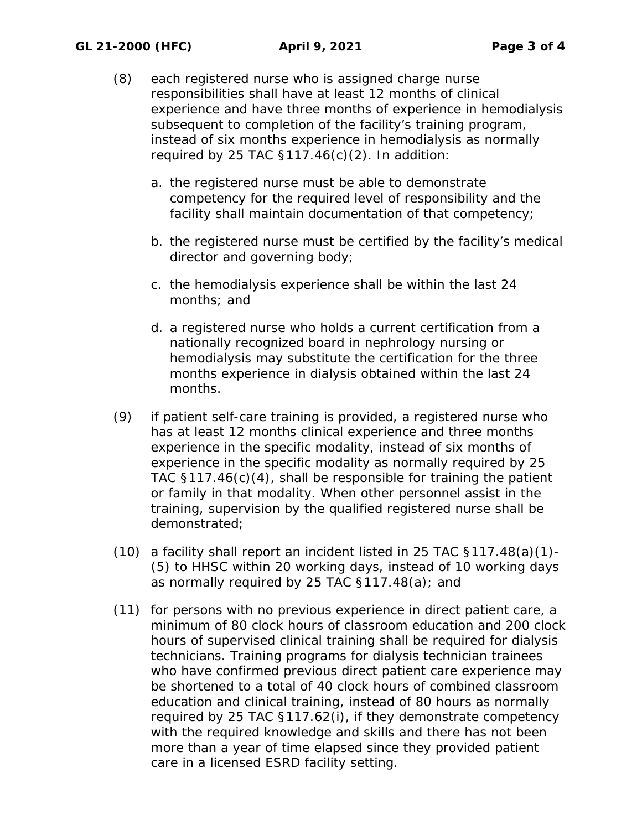- (8) each registered nurse who is assigned charge nurse responsibilities shall have at least 12 months of clinical experience and have three months of experience in hemodialysis subsequent to completion of the facility's training program, instead of six months experience in hemodialysis as normally required by 25 TAC  $\S117.46(c)(2)$ . In addition:
	- a. the registered nurse must be able to demonstrate competency for the required level of responsibility and the facility shall maintain documentation of that competency;
	- b. the registered nurse must be certified by the facility's medical director and governing body;
	- c. the hemodialysis experience shall be within the last 24 months; and
	- d. a registered nurse who holds a current certification from a nationally recognized board in nephrology nursing or hemodialysis may substitute the certification for the three months experience in dialysis obtained within the last 24 months.
- (9) if patient self-care training is provided, a registered nurse who has at least 12 months clinical experience and three months experience in the specific modality, instead of six months of experience in the specific modality as normally required by 25 TAC §117.46(c)(4), shall be responsible for training the patient or family in that modality. When other personnel assist in the training, supervision by the qualified registered nurse shall be demonstrated;
- (10) a facility shall report an incident listed in 25 TAC §117.48(a)(1)- (5) to HHSC within 20 working days, instead of 10 working days as normally required by 25 TAC §117.48(a); and
- (11) for persons with no previous experience in direct patient care, a minimum of 80 clock hours of classroom education and 200 clock hours of supervised clinical training shall be required for dialysis technicians. Training programs for dialysis technician trainees who have confirmed previous direct patient care experience may be shortened to a total of 40 clock hours of combined classroom education and clinical training, instead of 80 hours as normally required by 25 TAC §117.62(i), if they demonstrate competency with the required knowledge and skills and there has not been more than a year of time elapsed since they provided patient care in a licensed ESRD facility setting.